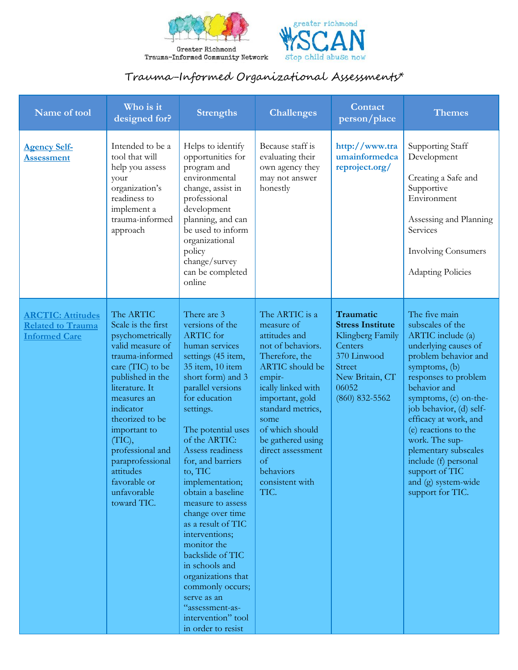



## Trauma-Informed Organizational Assessments\*

| Name of tool                                                                 | Who is it<br>designed for?                                                                                                                                                                                                                                                                                                       | <b>Strengths</b>                                                                                                                                                                                                                                                                                                                                                                                                                                                                                                                                                                 | <b>Challenges</b>                                                                                                                                                                                                                                                                                               | Contact<br>person/place                                                                                                                             | Themes                                                                                                                                                                                                                                                                                                                                                                                              |
|------------------------------------------------------------------------------|----------------------------------------------------------------------------------------------------------------------------------------------------------------------------------------------------------------------------------------------------------------------------------------------------------------------------------|----------------------------------------------------------------------------------------------------------------------------------------------------------------------------------------------------------------------------------------------------------------------------------------------------------------------------------------------------------------------------------------------------------------------------------------------------------------------------------------------------------------------------------------------------------------------------------|-----------------------------------------------------------------------------------------------------------------------------------------------------------------------------------------------------------------------------------------------------------------------------------------------------------------|-----------------------------------------------------------------------------------------------------------------------------------------------------|-----------------------------------------------------------------------------------------------------------------------------------------------------------------------------------------------------------------------------------------------------------------------------------------------------------------------------------------------------------------------------------------------------|
| <b>Agency Self-</b><br><b>Assessment</b>                                     | Intended to be a<br>tool that will<br>help you assess<br>your<br>organization's<br>readiness to<br>implement a<br>trauma-informed<br>approach                                                                                                                                                                                    | Helps to identify<br>opportunities for<br>program and<br>environmental<br>change, assist in<br>professional<br>development<br>planning, and can<br>be used to inform<br>organizational<br>policy<br>change/survey<br>can be completed<br>online                                                                                                                                                                                                                                                                                                                                  | Because staff is<br>evaluating their<br>own agency they<br>may not answer<br>honestly                                                                                                                                                                                                                           | http://www.tra<br>umainformedca<br>reproject.org/                                                                                                   | Supporting Staff<br>Development<br>Creating a Safe and<br>Supportive<br>Environment<br>Assessing and Planning<br>Services<br><b>Involving Consumers</b><br><b>Adapting Policies</b>                                                                                                                                                                                                                 |
| <b>ARCTIC: Attitudes</b><br><b>Related to Trauma</b><br><b>Informed Care</b> | The ARTIC<br>Scale is the first<br>psychometrically<br>valid measure of<br>trauma-informed<br>care (TIC) to be<br>published in the<br>literature. It<br>measures an<br>indicator<br>theorized to be<br>important to<br>(TIC),<br>professional and<br>paraprofessional<br>attitudes<br>favorable or<br>unfavorable<br>toward TIC. | There are 3<br>versions of the<br>ARTIC for<br>human services<br>settings (45 item,<br>35 item, 10 item<br>short form) and 3<br>parallel versions<br>for education<br>settings.<br>The potential uses<br>of the ARTIC:<br>Assess readiness<br>for, and barriers<br>to, TIC<br>implementation;<br>obtain a baseline<br>measure to assess<br>change over time<br>as a result of TIC<br>interventions;<br>monitor the<br>backslide of TIC<br>in schools and<br>organizations that<br>commonly occurs;<br>serve as an<br>"assessment-as-<br>intervention" tool<br>in order to resist | The ARTIC is a<br>measure of<br>attitudes and<br>not of behaviors.<br>Therefore, the<br><b>ARTIC</b> should be<br>empir-<br>ically linked with<br>important, gold<br>standard metrics,<br>some<br>of which should<br>be gathered using<br>direct assessment<br>$\alpha$<br>behaviors<br>consistent with<br>TIC. | Traumatic<br><b>Stress Institute</b><br>Klingberg Family<br>Centers<br>370 Linwood<br><b>Street</b><br>New Britain, CT<br>06052<br>$(860)$ 832-5562 | The five main<br>subscales of the<br>ARTIC include (a)<br>underlying causes of<br>problem behavior and<br>symptoms, (b)<br>responses to problem<br>behavior and<br>symptoms, (c) on-the-<br>job behavior, (d) self-<br>efficacy at work, and<br>(e) reactions to the<br>work. The sup-<br>plementary subscales<br>include (f) personal<br>support of TIC<br>and (g) system-wide<br>support for TIC. |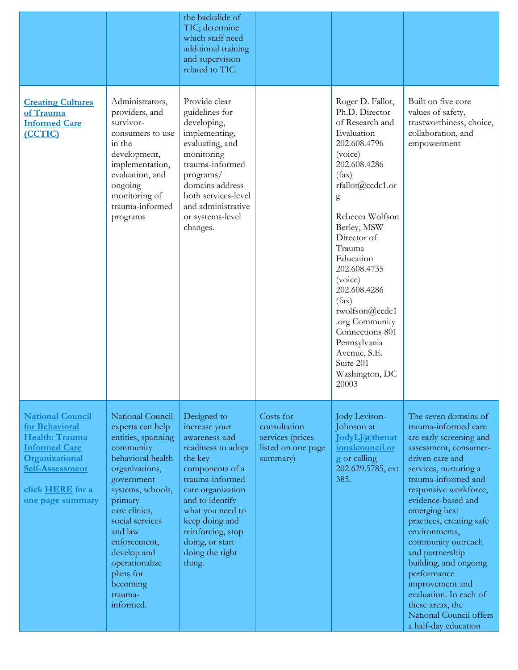|                                                                                                                                                                                |                                                                                                                                                                                                                                                                                                               | the backslide of<br>TIC; determine<br>which staff need<br>additional training<br>and supervision<br>related to TIC.                                                                                                                                                     |                                                                                 |                                                                                                                                                                                                                                                                                                                                                                                                             |                                                                                                                                                                                                                                                                                                                                                                                                                                                                                       |
|--------------------------------------------------------------------------------------------------------------------------------------------------------------------------------|---------------------------------------------------------------------------------------------------------------------------------------------------------------------------------------------------------------------------------------------------------------------------------------------------------------|-------------------------------------------------------------------------------------------------------------------------------------------------------------------------------------------------------------------------------------------------------------------------|---------------------------------------------------------------------------------|-------------------------------------------------------------------------------------------------------------------------------------------------------------------------------------------------------------------------------------------------------------------------------------------------------------------------------------------------------------------------------------------------------------|---------------------------------------------------------------------------------------------------------------------------------------------------------------------------------------------------------------------------------------------------------------------------------------------------------------------------------------------------------------------------------------------------------------------------------------------------------------------------------------|
| <b>Creating Cultures</b><br>of Trauma<br><b>Informed Care</b><br>(CCTIC)                                                                                                       | Administrators,<br>providers, and<br>survivor-<br>consumers to use<br>in the<br>development,<br>implementation,<br>evaluation, and<br>ongoing<br>monitoring of<br>trauma-informed<br>programs                                                                                                                 | Provide clear<br>guidelines for<br>developing,<br>implementing,<br>evaluating, and<br>monitoring<br>trauma-informed<br>programs/<br>domains address<br>both services-level<br>and administrative<br>or systems-level<br>changes.                                        |                                                                                 | Roger D. Fallot,<br>Ph.D. Director<br>of Research and<br>Evaluation<br>202.608.4796<br>(voice)<br>202.608.4286<br>(fax)<br>rfallot@ccdc1.or<br>g<br>Rebecca Wolfson<br>Berley, MSW<br>Director of<br>Trauma<br>Education<br>202.608.4735<br>(voice)<br>202.608.4286<br>(fax)<br>rwolfson@ccdc1<br>.org Community<br>Connections 801<br>Pennsylvania<br>Avenue, S.E.<br>Suite 201<br>Washington, DC<br>20003 | Built on five core<br>values of safety,<br>trustworthiness, choice,<br>collaboration, and<br>empowerment                                                                                                                                                                                                                                                                                                                                                                              |
| <b>National Council</b><br>for Behavioral<br>Health: Trauma<br><b>Informed Care</b><br>Organizational<br><b>Self-Assessment</b><br>click <b>HERE</b> for a<br>one page summary | National Council<br>experts can help<br>entities, spanning<br>community<br>behavioral health<br>organizations,<br>government<br>systems, schools,<br>primary<br>care clinics,<br>social services<br>and law<br>enforcement,<br>develop and<br>operationalize<br>plans for<br>becoming<br>trauma-<br>informed. | Designed to<br>increase your<br>awareness and<br>readiness to adopt<br>the key<br>components of a<br>trauma-informed<br>care organization<br>and to identify<br>what you need to<br>keep doing and<br>reinforcing, stop<br>doing, or start<br>doing the right<br>thing. | Costs for<br>consultation<br>services (prices<br>listed on one page<br>summary) | Jody Levison-<br>Johnson at<br><b>JodyLJ@thenat</b><br>ionalcouncil.or<br>g or calling<br>202.629.5785, ext<br>385.                                                                                                                                                                                                                                                                                         | The seven domains of<br>trauma-informed care<br>are early screening and<br>assessment, consumer-<br>driven care and<br>services, nurturing a<br>trauma-informed and<br>responsive workforce,<br>evidence-based and<br>emerging best<br>practices, creating safe<br>environments,<br>community outreach<br>and partnership<br>building, and ongoing<br>performance<br>improvement and<br>evaluation. In each of<br>these areas, the<br>National Council offers<br>a half-day education |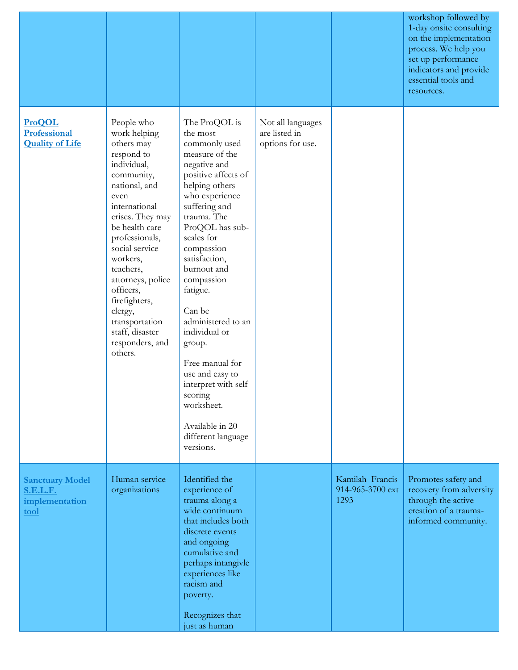|                                                                     |                                                                                                                                                                                                                                                                                                                                                                   |                                                                                                                                                                                                                                                                                                                                                                                                                                                                                         |                                                        |                                             | workshop followed by<br>1-day onsite consulting<br>on the implementation<br>process. We help you<br>set up performance<br>indicators and provide<br>essential tools and<br>resources. |
|---------------------------------------------------------------------|-------------------------------------------------------------------------------------------------------------------------------------------------------------------------------------------------------------------------------------------------------------------------------------------------------------------------------------------------------------------|-----------------------------------------------------------------------------------------------------------------------------------------------------------------------------------------------------------------------------------------------------------------------------------------------------------------------------------------------------------------------------------------------------------------------------------------------------------------------------------------|--------------------------------------------------------|---------------------------------------------|---------------------------------------------------------------------------------------------------------------------------------------------------------------------------------------|
| <b>ProQOL</b><br>Professional<br><b>Quality of Life</b>             | People who<br>work helping<br>others may<br>respond to<br>individual,<br>community,<br>national, and<br>even<br>international<br>crises. They may<br>be health care<br>professionals,<br>social service<br>workers,<br>teachers,<br>attorneys, police<br>officers,<br>firefighters,<br>clergy,<br>transportation<br>staff, disaster<br>responders, and<br>others. | The ProQOL is<br>the most<br>commonly used<br>measure of the<br>negative and<br>positive affects of<br>helping others<br>who experience<br>suffering and<br>trauma. The<br>ProQOL has sub-<br>scales for<br>compassion<br>satisfaction,<br>burnout and<br>compassion<br>fatigue.<br>Can be<br>administered to an<br>individual or<br>group.<br>Free manual for<br>use and easy to<br>interpret with self<br>scoring<br>worksheet.<br>Available in 20<br>different language<br>versions. | Not all languages<br>are listed in<br>options for use. |                                             |                                                                                                                                                                                       |
| <b>Sanctuary Model</b><br><b>S.E.L.F.</b><br>implementation<br>tool | Human service<br>organizations                                                                                                                                                                                                                                                                                                                                    | Identified the<br>experience of<br>trauma along a<br>wide continuum<br>that includes both<br>discrete events<br>and ongoing<br>cumulative and<br>perhaps intangivle<br>experiences like<br>racism and<br>poverty.<br>Recognizes that<br>just as human                                                                                                                                                                                                                                   |                                                        | Kamilah Francis<br>914-965-3700 ext<br>1293 | Promotes safety and<br>recovery from adversity<br>through the active<br>creation of a trauma-<br>informed community.                                                                  |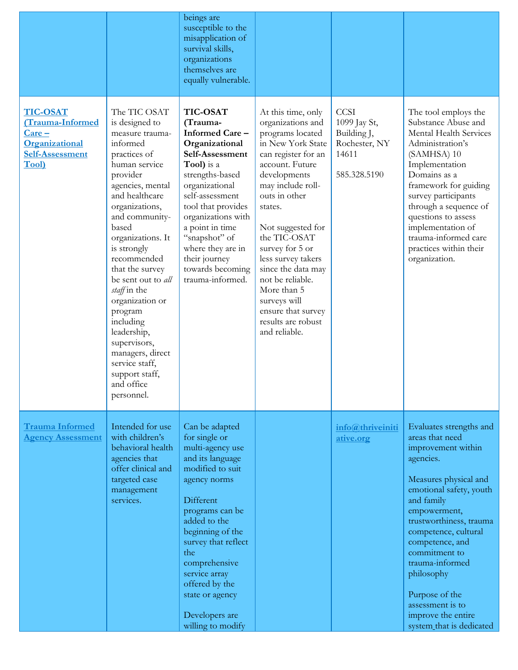|                                                                                                              |                                                                                                                                                                                                                                                                                                                                                                                                                                                                         | beings are<br>susceptible to the<br>misapplication of<br>survival skills,<br>organizations<br>themselves are<br>equally vulnerable.                                                                                                                                                                                         |                                                                                                                                                                                                                                                                                                                                                                                                                 |                                                                                      |                                                                                                                                                                                                                                                                                                                                                                                 |
|--------------------------------------------------------------------------------------------------------------|-------------------------------------------------------------------------------------------------------------------------------------------------------------------------------------------------------------------------------------------------------------------------------------------------------------------------------------------------------------------------------------------------------------------------------------------------------------------------|-----------------------------------------------------------------------------------------------------------------------------------------------------------------------------------------------------------------------------------------------------------------------------------------------------------------------------|-----------------------------------------------------------------------------------------------------------------------------------------------------------------------------------------------------------------------------------------------------------------------------------------------------------------------------------------------------------------------------------------------------------------|--------------------------------------------------------------------------------------|---------------------------------------------------------------------------------------------------------------------------------------------------------------------------------------------------------------------------------------------------------------------------------------------------------------------------------------------------------------------------------|
| <b>TIC-OSAT</b><br>(Trauma-Informed<br>$Care -$<br>Organizational<br><b>Self-Assessment</b><br><b>Tool</b> ) | The TIC OSAT<br>is designed to<br>measure trauma-<br>informed<br>practices of<br>human service<br>provider<br>agencies, mental<br>and healthcare<br>organizations,<br>and community-<br>based<br>organizations. It<br>is strongly<br>recommended<br>that the survey<br>be sent out to all<br>staff in the<br>organization or<br>program<br>including<br>leadership,<br>supervisors,<br>managers, direct<br>service staff,<br>support staff,<br>and office<br>personnel. | <b>TIC-OSAT</b><br>(Trauma-<br>Informed Care-<br>Organizational<br>Self-Assessment<br>Tool) is a<br>strengths-based<br>organizational<br>self-assessment<br>tool that provides<br>organizations with<br>a point in time<br>"snapshot" of<br>where they are in<br>their journey<br>towards becoming<br>trauma-informed.      | At this time, only<br>organizations and<br>programs located<br>in New York State<br>can register for an<br>account. Future<br>developments<br>may include roll-<br>outs in other<br>states.<br>Not suggested for<br>the TIC-OSAT<br>survey for 5 or<br>less survey takers<br>since the data may<br>not be reliable.<br>More than 5<br>surveys will<br>ensure that survey<br>results are robust<br>and reliable. | <b>CCSI</b><br>1099 Jay St,<br>Building J,<br>Rochester, NY<br>14611<br>585.328.5190 | The tool employs the<br>Substance Abuse and<br>Mental Health Services<br>Administration's<br>(SAMHSA) 10<br>Implementation<br>Domains as a<br>framework for guiding<br>survey participants<br>through a sequence of<br>questions to assess<br>implementation of<br>trauma-informed care<br>practices within their<br>organization.                                              |
| <b>Trauma Informed</b><br><b>Agency Assessment</b>                                                           | Intended for use<br>with children's<br>behavioral health<br>agencies that<br>offer clinical and<br>targeted case<br>management<br>services.                                                                                                                                                                                                                                                                                                                             | Can be adapted<br>for single or<br>multi-agency use<br>and its language<br>modified to suit<br>agency norms<br>Different<br>programs can be<br>added to the<br>beginning of the<br>survey that reflect<br>the<br>comprehensive<br>service array<br>offered by the<br>state or agency<br>Developers are<br>willing to modify |                                                                                                                                                                                                                                                                                                                                                                                                                 | info@thriveiniti<br>ative.org                                                        | Evaluates strengths and<br>areas that need<br>improvement within<br>agencies.<br>Measures physical and<br>emotional safety, youth<br>and family<br>empowerment,<br>trustworthiness, trauma<br>competence, cultural<br>competence, and<br>commitment to<br>trauma-informed<br>philosophy<br>Purpose of the<br>assessment is to<br>improve the entire<br>system that is dedicated |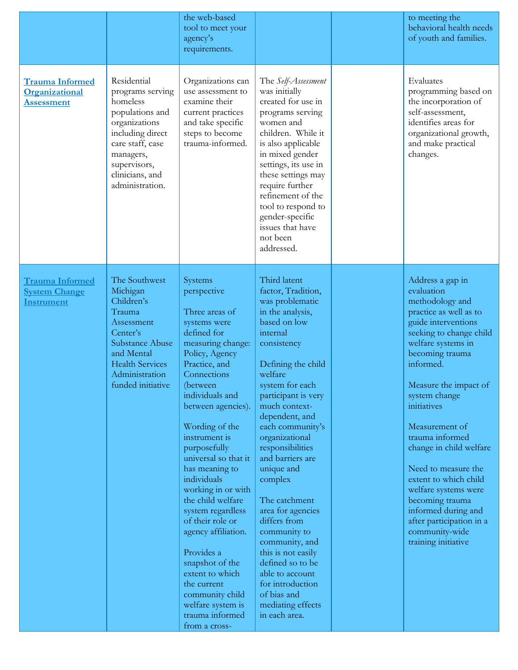|                                                                     |                                                                                                                                                                                            | the web-based<br>tool to meet your<br>agency's<br>requirements.                                                                                                                                                                                                                                                                                                                                                                                                                                                                                                           |                                                                                                                                                                                                                                                                                                                                                                                                                                                                                                                                                                         | to meeting the<br>behavioral health needs<br>of youth and families.                                                                                                                                                                                                                                                                                                                                                                                                                                 |
|---------------------------------------------------------------------|--------------------------------------------------------------------------------------------------------------------------------------------------------------------------------------------|---------------------------------------------------------------------------------------------------------------------------------------------------------------------------------------------------------------------------------------------------------------------------------------------------------------------------------------------------------------------------------------------------------------------------------------------------------------------------------------------------------------------------------------------------------------------------|-------------------------------------------------------------------------------------------------------------------------------------------------------------------------------------------------------------------------------------------------------------------------------------------------------------------------------------------------------------------------------------------------------------------------------------------------------------------------------------------------------------------------------------------------------------------------|-----------------------------------------------------------------------------------------------------------------------------------------------------------------------------------------------------------------------------------------------------------------------------------------------------------------------------------------------------------------------------------------------------------------------------------------------------------------------------------------------------|
| <b>Trauma Informed</b><br>Organizational<br><b>Assessment</b>       | Residential<br>programs serving<br>homeless<br>populations and<br>organizations<br>including direct<br>care staff, case<br>managers,<br>supervisors,<br>clinicians, and<br>administration. | Organizations can<br>use assessment to<br>examine their<br>current practices<br>and take specific<br>steps to become<br>trauma-informed.                                                                                                                                                                                                                                                                                                                                                                                                                                  | The Self-Assessment<br>was initially<br>created for use in<br>programs serving<br>women and<br>children. While it<br>is also applicable<br>in mixed gender<br>settings, its use in<br>these settings may<br>require further<br>refinement of the<br>tool to respond to<br>gender-specific<br>issues that have<br>not been<br>addressed.                                                                                                                                                                                                                                 | Evaluates<br>programming based on<br>the incorporation of<br>self-assessment,<br>identifies areas for<br>organizational growth,<br>and make practical<br>changes.                                                                                                                                                                                                                                                                                                                                   |
| <b>Trauma Informed</b><br><b>System Change</b><br><b>Instrument</b> | The Southwest<br>Michigan<br>Children's<br>Trauma<br>Assessment<br>Center's<br>Substance Abuse<br>and Mental<br><b>Health Services</b><br>Administration<br>funded initiative              | Systems<br>perspective<br>Three areas of<br>systems were<br>defined for<br>measuring change:<br>Policy, Agency<br>Practice, and<br>Connections<br>(between<br>individuals and<br>between agencies).<br>Wording of the<br>instrument is<br>purposefully<br>universal so that it<br>has meaning to<br>individuals<br>working in or with<br>the child welfare<br>system regardless<br>of their role or<br>agency affiliation.<br>Provides a<br>snapshot of the<br>extent to which<br>the current<br>community child<br>welfare system is<br>trauma informed<br>from a cross- | Third latent<br>factor, Tradition,<br>was problematic<br>in the analysis,<br>based on low<br>internal<br>consistency<br>Defining the child<br>welfare<br>system for each<br>participant is very<br>much context-<br>dependent, and<br>each community's<br>organizational<br>responsibilities<br>and barriers are<br>unique and<br>complex<br>The catchment<br>area for agencies<br>differs from<br>community to<br>community, and<br>this is not easily<br>defined so to be<br>able to account<br>for introduction<br>of bias and<br>mediating effects<br>in each area. | Address a gap in<br>evaluation<br>methodology and<br>practice as well as to<br>guide interventions<br>seeking to change child<br>welfare systems in<br>becoming trauma<br>informed.<br>Measure the impact of<br>system change<br>initiatives<br>Measurement of<br>trauma informed<br>change in child welfare<br>Need to measure the<br>extent to which child<br>welfare systems were<br>becoming trauma<br>informed during and<br>after participation in a<br>community-wide<br>training initiative |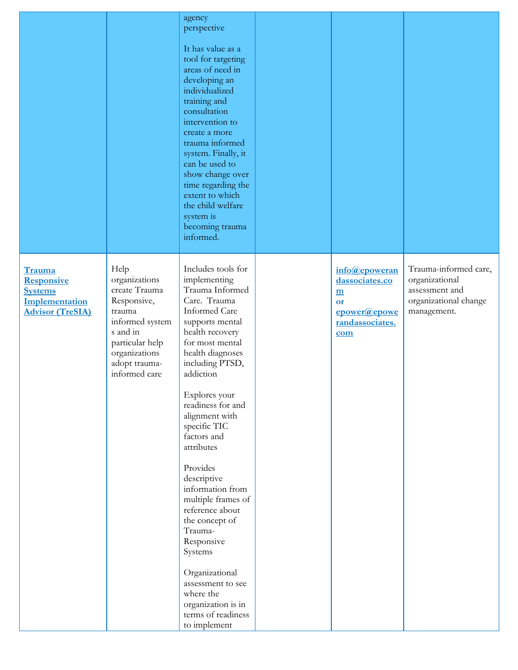|                                                                                            |                                                                                                                                                                      | agency<br>perspective<br>It has value as a<br>tool for targeting<br>areas of need in<br>developing an<br>individualized<br>training and<br>consultation<br>intervention to<br>create a more<br>trauma informed<br>system. Finally, it<br>can be used to<br>show change over<br>time regarding the<br>extent to which<br>the child welfare<br>system is<br>becoming trauma<br>informed.                                                                                                                                                                                        |                                                                                      |                                                                                                   |
|--------------------------------------------------------------------------------------------|----------------------------------------------------------------------------------------------------------------------------------------------------------------------|-------------------------------------------------------------------------------------------------------------------------------------------------------------------------------------------------------------------------------------------------------------------------------------------------------------------------------------------------------------------------------------------------------------------------------------------------------------------------------------------------------------------------------------------------------------------------------|--------------------------------------------------------------------------------------|---------------------------------------------------------------------------------------------------|
| Trauma<br><b>Responsive</b><br><b>Systems</b><br>Implementation<br><b>Advisor (TreSIA)</b> | Help<br>organizations<br>create Trauma<br>Responsive,<br>trauma<br>informed system<br>s and in<br>particular help<br>organizations<br>adopt trauma-<br>informed care | Includes tools for<br>implementing<br>Trauma Informed<br>Care. Trauma<br><b>Informed Care</b><br>supports mental<br>health recovery<br>for most mental<br>health diagnoses<br>including PTSD,<br>addiction<br>Explores your<br>readiness for and<br>alignment with<br>specific TIC<br>factors and<br>attributes<br>Provides<br>descriptive<br>information from<br>multiple frames of<br>reference about<br>the concept of<br>Trauma-<br>Responsive<br>Systems<br>Organizational<br>assessment to see<br>where the<br>organization is in<br>terms of readiness<br>to implement | info@epoweran<br>dassociates.co<br>m<br>or<br>epower@epowe<br>randassociates.<br>com | Trauma-informed care,<br>organizational<br>assessment and<br>organizational change<br>management. |